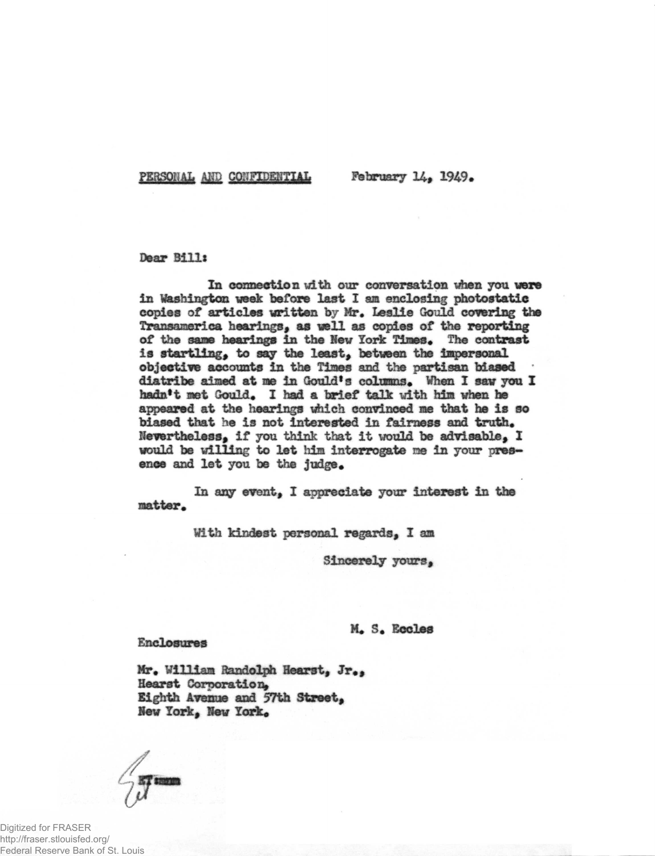PERSONAL AND CONFIDENTIAL February 14, 1949.

## Dear Bill:

In connection with our conversation when you were in Washington week before last I am enclosing photostatic copies of articles written by Mr. Leslie Gould covering the Transamerica hearings, as well as copies of the reporting of the same hearings in the New York Times. The contrast is startling, to say the least, between the impersonal objective accounts in the Times and the partisan biased diatribe aimed at me in Gould's columns. When I saw you I hadn't met Gould. I had a brief talk with him when he appeared at the hearings which convinced me that he is so biased that he is not interested in fairness and truth. Nevertheless, if you think that it would be advisable,  $I$ would be willing to let him interrogate me in your presence and let you be the judge.

In any event, I appreciate your interest in the matter.

With kindest personal regards, I am

Sincerely yours,

M. S. Eccles

## Enclosures

Mr. William Randolph Hearst, Jr., Hearst Corporation, Eighth Avenue and 57th Street, Hew York, New York,

Digitized for FRASER http://fraser.stlouisfed.org/ Federal Reserve Bank of St. Louis